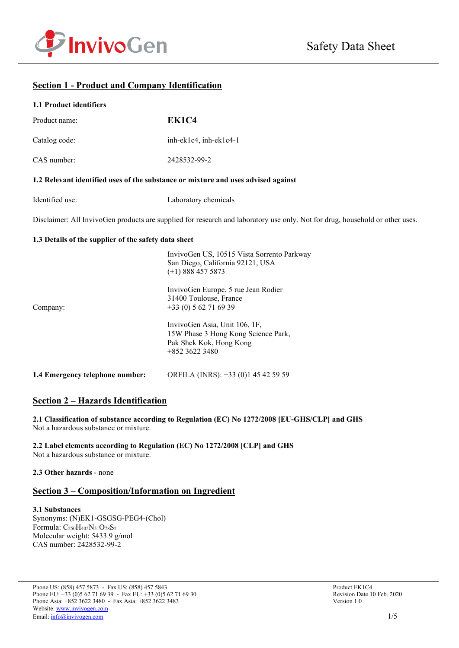

# **Section 1 - Product and Company Identification**

| <b>1.1 Product identifiers</b>                       |                                                                                                                              |
|------------------------------------------------------|------------------------------------------------------------------------------------------------------------------------------|
| Product name:                                        | EK1C4                                                                                                                        |
| Catalog code:                                        | inh-ek1c4, inh-ek1c4-1                                                                                                       |
| CAS number:                                          | 2428532-99-2                                                                                                                 |
|                                                      | 1.2 Relevant identified uses of the substance or mixture and uses advised against                                            |
| Identified use:                                      | Laboratory chemicals                                                                                                         |
|                                                      | Disclaimer: All InvivoGen products are supplied for research and laboratory use only. Not for drug, household or other uses. |
| 1.3 Details of the supplier of the safety data sheet |                                                                                                                              |
|                                                      | InvivoGen US, 10515 Vista Sorrento Parkway<br>San Diego, California 92121, USA<br>$(+1)$ 888 457 5873                        |
| Company:                                             | InvivoGen Europe, 5 rue Jean Rodier<br>31400 Toulouse, France<br>$+33(0) 562716939$                                          |
|                                                      | InvivoGen Asia, Unit 106, 1F,<br>15W Phase 3 Hong Kong Science Park,<br>Pak Shek Kok, Hong Kong<br>+852 3622 3480            |
| 1.4 Emergency telephone number:                      | ORFILA (INRS): +33 (0)1 45 42 59 59                                                                                          |

# **Section 2 – Hazards Identification**

**2.1 Classification of substance according to Regulation (EC) No 1272/2008 [EU-GHS/CLP] and GHS** Not a hazardous substance or mixture.

**2.2 Label elements according to Regulation (EC) No 1272/2008 [CLP] and GHS** Not a hazardous substance or mixture.

## **2.3 Other hazards** - none

# **Section 3 – Composition/Information on Ingredient**

### **3.1 Substances** Synonyms: (N)EK1-GSGSG-PEG4-(Chol) Formula: C<sub>250</sub>H<sub>405</sub>N<sub>51</sub>O<sub>78</sub>S<sub>2</sub> Molecular weight: 5433.9 g/mol CAS number: 2428532-99-2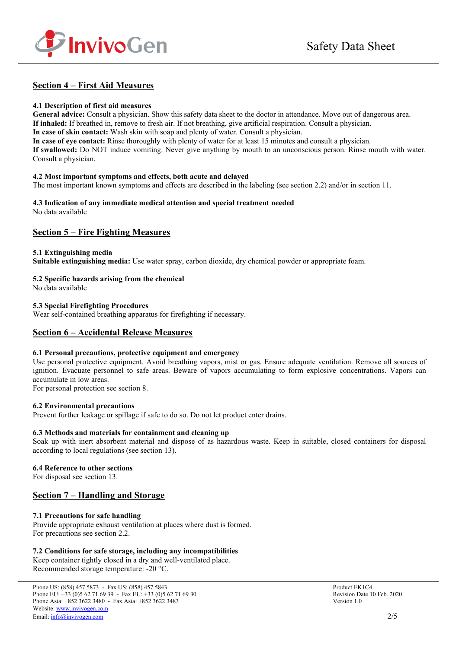

# **Section 4 – First Aid Measures**

### **4.1 Description of first aid measures**

**General advice:** Consult a physician. Show this safety data sheet to the doctor in attendance. Move out of dangerous area. **If inhaled:** If breathed in, remove to fresh air. If not breathing, give artificial respiration. Consult a physician. **In case of skin contact:** Wash skin with soap and plenty of water. Consult a physician. **In case of eye contact:** Rinse thoroughly with plenty of water for at least 15 minutes and consult a physician. **If swallowed:** Do NOT induce vomiting. Never give anything by mouth to an unconscious person. Rinse mouth with water.

### **4.2 Most important symptoms and effects, both acute and delayed**

The most important known symptoms and effects are described in the labeling (see section 2.2) and/or in section 11.

#### **4.3 Indication of any immediate medical attention and special treatment needed** No data available

Consult a physician.

# **Section 5 – Fire Fighting Measures**

### **5.1 Extinguishing media**

**Suitable extinguishing media:** Use water spray, carbon dioxide, dry chemical powder or appropriate foam.

## **5.2 Specific hazards arising from the chemical**

No data available

### **5.3 Special Firefighting Procedures**

Wear self-contained breathing apparatus for firefighting if necessary.

## **Section 6 – Accidental Release Measures**

### **6.1 Personal precautions, protective equipment and emergency**

Use personal protective equipment. Avoid breathing vapors, mist or gas. Ensure adequate ventilation. Remove all sources of ignition. Evacuate personnel to safe areas. Beware of vapors accumulating to form explosive concentrations. Vapors can accumulate in low areas.

For personal protection see section 8.

## **6.2 Environmental precautions**

Prevent further leakage or spillage if safe to do so. Do not let product enter drains.

### **6.3 Methods and materials for containment and cleaning up**

Soak up with inert absorbent material and dispose of as hazardous waste. Keep in suitable, closed containers for disposal according to local regulations (see section 13).

### **6.4 Reference to other sections**

For disposal see section 13.

# **Section 7 – Handling and Storage**

### **7.1 Precautions for safe handling**

Provide appropriate exhaust ventilation at places where dust is formed. For precautions see section 2.2.

### **7.2 Conditions for safe storage, including any incompatibilities**

Keep container tightly closed in a dry and well-ventilated place. Recommended storage temperature: -20 °C.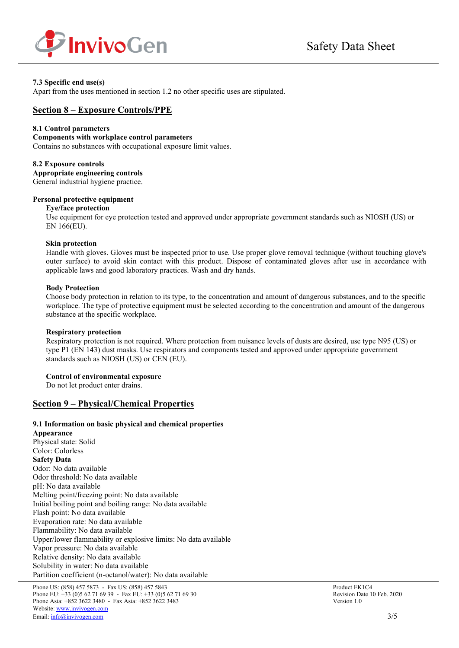

## **7.3 Specific end use(s)**

Apart from the uses mentioned in section 1.2 no other specific uses are stipulated.

## **Section 8 – Exposure Controls/PPE**

### **8.1 Control parameters**

#### **Components with workplace control parameters**

Contains no substances with occupational exposure limit values.

#### **8.2 Exposure controls**

**Appropriate engineering controls** General industrial hygiene practice.

# **Personal protective equipment**

#### **Eye/face protection**

Use equipment for eye protection tested and approved under appropriate government standards such as NIOSH (US) or EN 166(EU).

#### **Skin protection**

Handle with gloves. Gloves must be inspected prior to use. Use proper glove removal technique (without touching glove's outer surface) to avoid skin contact with this product. Dispose of contaminated gloves after use in accordance with applicable laws and good laboratory practices. Wash and dry hands.

### **Body Protection**

Choose body protection in relation to its type, to the concentration and amount of dangerous substances, and to the specific workplace. The type of protective equipment must be selected according to the concentration and amount of the dangerous substance at the specific workplace.

### **Respiratory protection**

Respiratory protection is not required. Where protection from nuisance levels of dusts are desired, use type N95 (US) or type P1 (EN 143) dust masks. Use respirators and components tested and approved under appropriate government standards such as NIOSH (US) or CEN (EU).

### **Control of environmental exposure**

Do not let product enter drains.

## **Section 9 – Physical/Chemical Properties**

### **9.1 Information on basic physical and chemical properties**

**Appearance** Physical state: Solid Color: Colorless **Safety Data** Odor: No data available Odor threshold: No data available pH: No data available Melting point/freezing point: No data available Initial boiling point and boiling range: No data available Flash point: No data available Evaporation rate: No data available Flammability: No data available Upper/lower flammability or explosive limits: No data available Vapor pressure: No data available Relative density: No data available Solubility in water: No data available Partition coefficient (n-octanol/water): No data available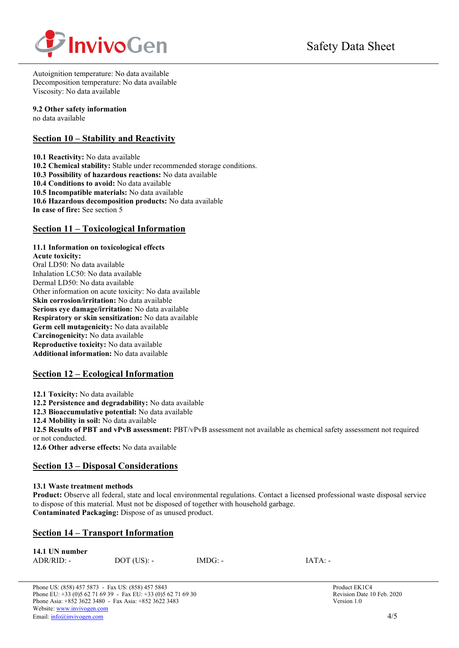

Autoignition temperature: No data available Decomposition temperature: No data available Viscosity: No data available

## **9.2 Other safety information**

no data available

# **Section 10 – Stability and Reactivity**

**10.1 Reactivity:** No data available **10.2 Chemical stability:** Stable under recommended storage conditions. **10.3 Possibility of hazardous reactions:** No data available **10.4 Conditions to avoid:** No data available **10.5 Incompatible materials:** No data available **10.6 Hazardous decomposition products:** No data available **In case of fire:** See section 5

# **Section 11 – Toxicological Information**

## **11.1 Information on toxicological effects**

**Acute toxicity:** Oral LD50: No data available Inhalation LC50: No data available Dermal LD50: No data available Other information on acute toxicity: No data available **Skin corrosion/irritation:** No data available **Serious eye damage/irritation:** No data available **Respiratory or skin sensitization:** No data available **Germ cell mutagenicity:** No data available **Carcinogenicity:** No data available **Reproductive toxicity:** No data available **Additional information:** No data available

# **Section 12 – Ecological Information**

**12.1 Toxicity:** No data available

**12.2 Persistence and degradability:** No data available

**12.3 Bioaccumulative potential:** No data available

**12.4 Mobility in soil:** No data available

**12.5 Results of PBT and vPvB assessment:** PBT/vPvB assessment not available as chemical safety assessment not required or not conducted.

**12.6 Other adverse effects:** No data available

# **Section 13 – Disposal Considerations**

## **13.1 Waste treatment methods**

**Product:** Observe all federal, state and local environmental regulations. Contact a licensed professional waste disposal service to dispose of this material. Must not be disposed of together with household garbage. **Contaminated Packaging:** Dispose of as unused product.

# **Section 14 – Transport Information**

| 14.1 UN number |               |           |          |
|----------------|---------------|-----------|----------|
| $ADR/RID: -$   | $DOT$ (US): - | $IMDG: -$ | $IATA$ : |